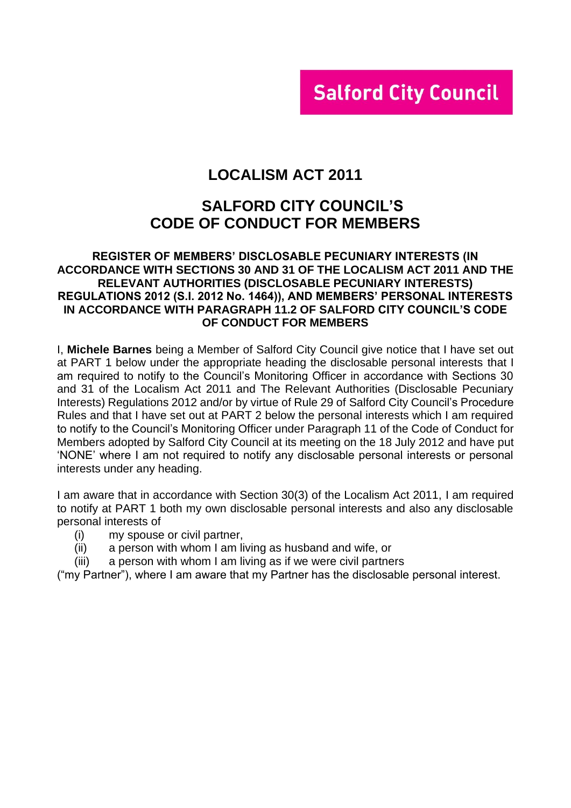# **Salford City Council**

# **LOCALISM ACT 2011**

# **SALFORD CITY COUNCIL'S CODE OF CONDUCT FOR MEMBERS**

### **REGISTER OF MEMBERS' DISCLOSABLE PECUNIARY INTERESTS (IN ACCORDANCE WITH SECTIONS 30 AND 31 OF THE LOCALISM ACT 2011 AND THE RELEVANT AUTHORITIES (DISCLOSABLE PECUNIARY INTERESTS) REGULATIONS 2012 (S.I. 2012 No. 1464)), AND MEMBERS' PERSONAL INTERESTS IN ACCORDANCE WITH PARAGRAPH 11.2 OF SALFORD CITY COUNCIL'S CODE OF CONDUCT FOR MEMBERS**

I, **Michele Barnes** being a Member of Salford City Council give notice that I have set out at PART 1 below under the appropriate heading the disclosable personal interests that I am required to notify to the Council's Monitoring Officer in accordance with Sections 30 and 31 of the Localism Act 2011 and The Relevant Authorities (Disclosable Pecuniary Interests) Regulations 2012 and/or by virtue of Rule 29 of Salford City Council's Procedure Rules and that I have set out at PART 2 below the personal interests which I am required to notify to the Council's Monitoring Officer under Paragraph 11 of the Code of Conduct for Members adopted by Salford City Council at its meeting on the 18 July 2012 and have put 'NONE' where I am not required to notify any disclosable personal interests or personal interests under any heading.

I am aware that in accordance with Section 30(3) of the Localism Act 2011, I am required to notify at PART 1 both my own disclosable personal interests and also any disclosable personal interests of

- (i) my spouse or civil partner,
- (ii) a person with whom I am living as husband and wife, or
- (iii) a person with whom I am living as if we were civil partners

("my Partner"), where I am aware that my Partner has the disclosable personal interest.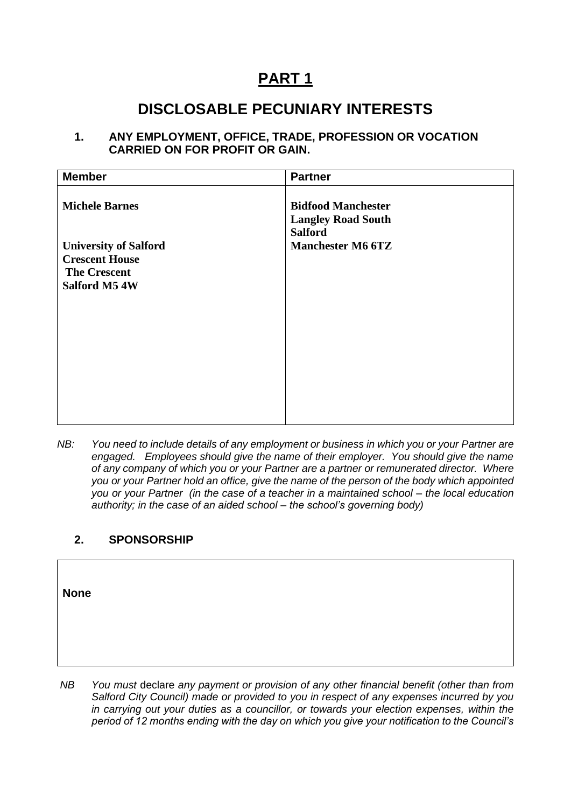# **PART 1**

# **DISCLOSABLE PECUNIARY INTERESTS**

### **1. ANY EMPLOYMENT, OFFICE, TRADE, PROFESSION OR VOCATION CARRIED ON FOR PROFIT OR GAIN.**

| <b>Member</b>                                                                                 | <b>Partner</b>                                         |
|-----------------------------------------------------------------------------------------------|--------------------------------------------------------|
| <b>Michele Barnes</b>                                                                         | <b>Bidfood Manchester</b><br><b>Langley Road South</b> |
| <b>University of Salford</b><br><b>Crescent House</b><br><b>The Crescent</b><br>Salford M5 4W | <b>Salford</b><br><b>Manchester M6 6TZ</b>             |
|                                                                                               |                                                        |

*NB: You need to include details of any employment or business in which you or your Partner are engaged. Employees should give the name of their employer. You should give the name of any company of which you or your Partner are a partner or remunerated director. Where you or your Partner hold an office, give the name of the person of the body which appointed you or your Partner (in the case of a teacher in a maintained school – the local education authority; in the case of an aided school – the school's governing body)*

# **2. SPONSORSHIP**

**None**

*NB You must* declare *any payment or provision of any other financial benefit (other than from Salford City Council) made or provided to you in respect of any expenses incurred by you in carrying out your duties as a councillor, or towards your election expenses, within the period of 12 months ending with the day on which you give your notification to the Council's*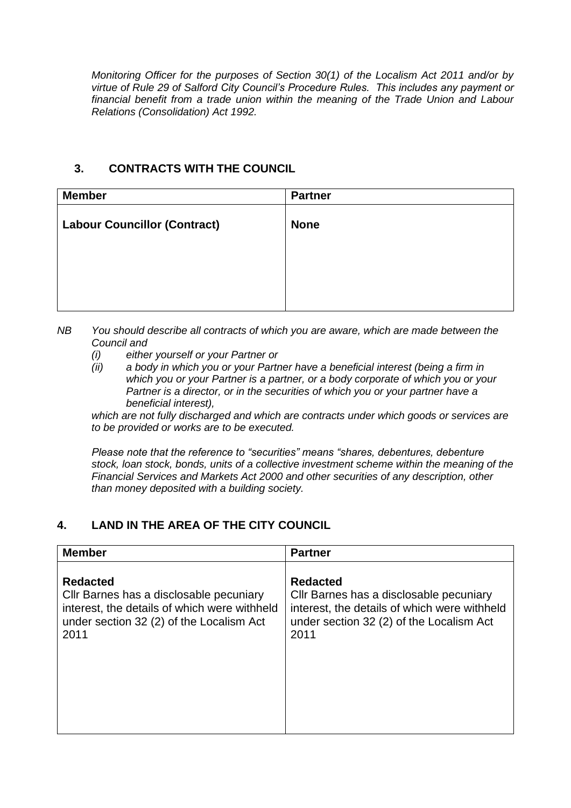*Monitoring Officer for the purposes of Section 30(1) of the Localism Act 2011 and/or by virtue of Rule 29 of Salford City Council's Procedure Rules. This includes any payment or financial benefit from a trade union within the meaning of the Trade Union and Labour Relations (Consolidation) Act 1992.* 

### **3. CONTRACTS WITH THE COUNCIL**

| <b>Member</b>                       | <b>Partner</b> |
|-------------------------------------|----------------|
| <b>Labour Councillor (Contract)</b> | <b>None</b>    |
|                                     |                |
|                                     |                |
|                                     |                |

- *NB You should describe all contracts of which you are aware, which are made between the Council and* 
	- *(i) either yourself or your Partner or*
	- *(ii) a body in which you or your Partner have a beneficial interest (being a firm in which you or your Partner is a partner, or a body corporate of which you or your Partner is a director, or in the securities of which you or your partner have a beneficial interest),*

*which are not fully discharged and which are contracts under which goods or services are to be provided or works are to be executed.*

*Please note that the reference to "securities" means "shares, debentures, debenture stock, loan stock, bonds, units of a collective investment scheme within the meaning of the Financial Services and Markets Act 2000 and other securities of any description, other than money deposited with a building society.*

# **4. LAND IN THE AREA OF THE CITY COUNCIL**

| <b>Member</b>                                | <b>Partner</b>                               |
|----------------------------------------------|----------------------------------------------|
| <b>Redacted</b>                              | <b>Redacted</b>                              |
| CIIr Barnes has a disclosable pecuniary      | Cllr Barnes has a disclosable pecuniary      |
| interest, the details of which were withheld | interest, the details of which were withheld |
| under section 32 (2) of the Localism Act     | under section 32 (2) of the Localism Act     |
| 2011                                         | 2011                                         |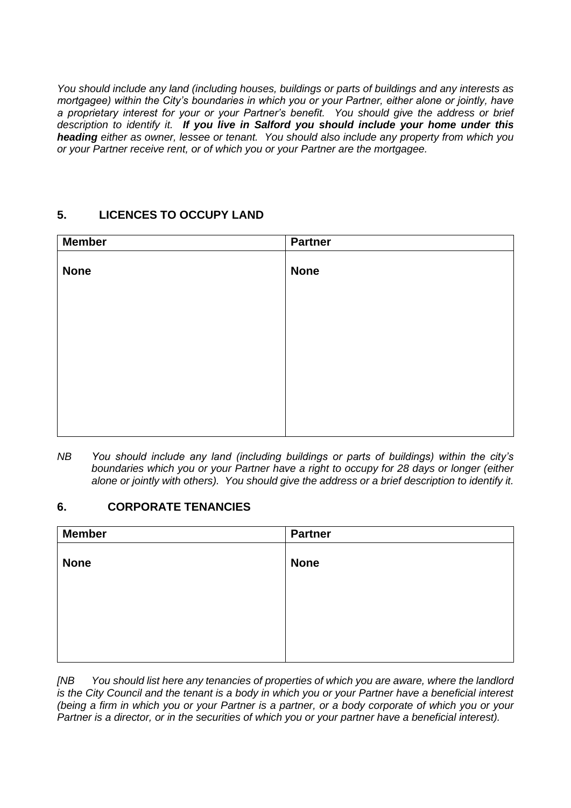*You should include any land (including houses, buildings or parts of buildings and any interests as mortgagee) within the City's boundaries in which you or your Partner, either alone or jointly, have a proprietary interest for your or your Partner's benefit. You should give the address or brief description to identify it. If you live in Salford you should include your home under this heading either as owner, lessee or tenant. You should also include any property from which you or your Partner receive rent, or of which you or your Partner are the mortgagee.*

# **5. LICENCES TO OCCUPY LAND**

| <b>Member</b> | <b>Partner</b> |
|---------------|----------------|
| <b>None</b>   | <b>None</b>    |
|               |                |
|               |                |
|               |                |
|               |                |
|               |                |
|               |                |
|               |                |
|               |                |
|               |                |

*NB You should include any land (including buildings or parts of buildings) within the city's boundaries which you or your Partner have a right to occupy for 28 days or longer (either alone or jointly with others). You should give the address or a brief description to identify it.*

# **6. CORPORATE TENANCIES**

| <b>Member</b> | <b>Partner</b> |
|---------------|----------------|
|               |                |
| <b>None</b>   | <b>None</b>    |
|               |                |
|               |                |
|               |                |
|               |                |
|               |                |

*[NB You should list here any tenancies of properties of which you are aware, where the landlord is the City Council and the tenant is a body in which you or your Partner have a beneficial interest (being a firm in which you or your Partner is a partner, or a body corporate of which you or your Partner is a director, or in the securities of which you or your partner have a beneficial interest).*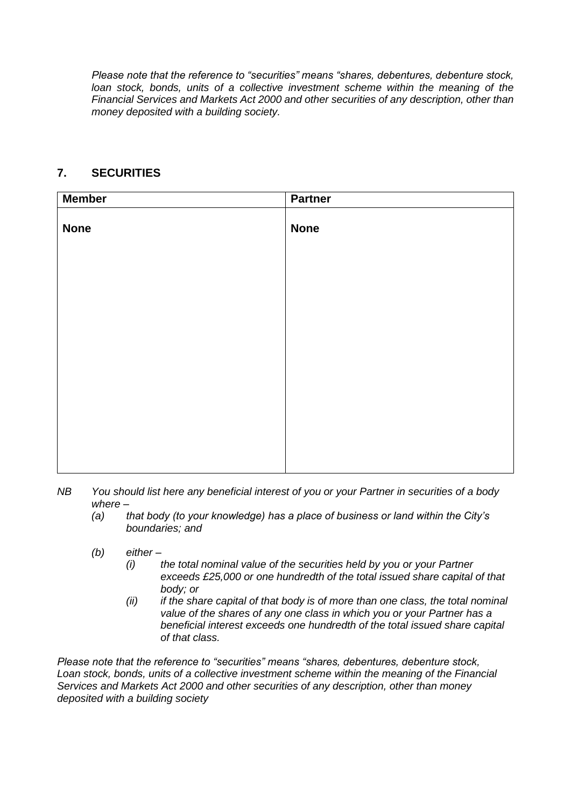*Please note that the reference to "securities" means "shares, debentures, debenture stock,*  loan stock, bonds, units of a collective investment scheme within the meaning of the *Financial Services and Markets Act 2000 and other securities of any description, other than money deposited with a building society.*

### **7. SECURITIES**

| <b>Member</b> | <b>Partner</b> |
|---------------|----------------|
| <b>None</b>   | <b>None</b>    |
|               |                |
|               |                |
|               |                |
|               |                |
|               |                |
|               |                |
|               |                |
|               |                |

- *NB You should list here any beneficial interest of you or your Partner in securities of a body where –*
	- *(a) that body (to your knowledge) has a place of business or land within the City's boundaries; and*
	- *(b) either –*
		- *(i) the total nominal value of the securities held by you or your Partner exceeds £25,000 or one hundredth of the total issued share capital of that body; or*
		- *(ii) if the share capital of that body is of more than one class, the total nominal value of the shares of any one class in which you or your Partner has a beneficial interest exceeds one hundredth of the total issued share capital of that class.*

*Please note that the reference to "securities" means "shares, debentures, debenture stock, Loan stock, bonds, units of a collective investment scheme within the meaning of the Financial Services and Markets Act 2000 and other securities of any description, other than money deposited with a building society*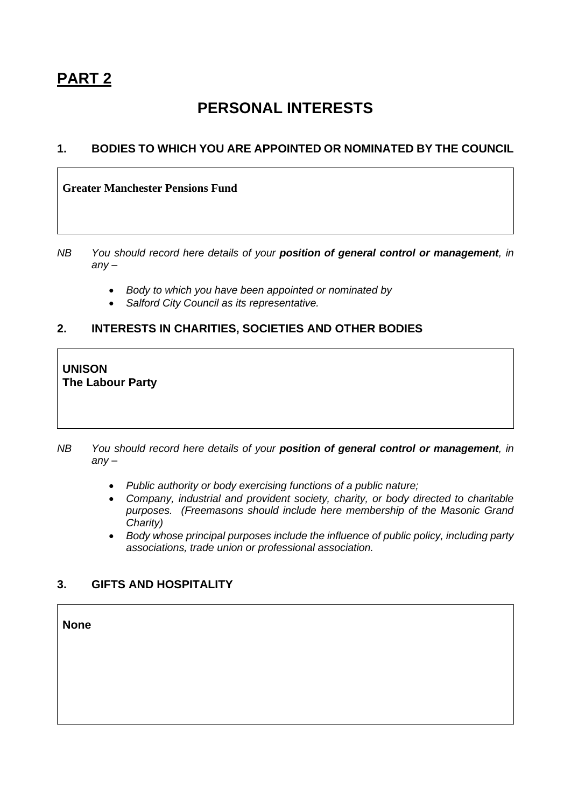# **PERSONAL INTERESTS**

### **1. BODIES TO WHICH YOU ARE APPOINTED OR NOMINATED BY THE COUNCIL**

#### **Greater Manchester Pensions Fund**

- *NB You should record here details of your position of general control or management, in any –*
	- *Body to which you have been appointed or nominated by*
	- *Salford City Council as its representative.*

# **2. INTERESTS IN CHARITIES, SOCIETIES AND OTHER BODIES**

### **UNISON The Labour Party**

*NB You should record here details of your position of general control or management, in any –*

- *Public authority or body exercising functions of a public nature;*
- *Company, industrial and provident society, charity, or body directed to charitable purposes. (Freemasons should include here membership of the Masonic Grand Charity)*
- *Body whose principal purposes include the influence of public policy, including party associations, trade union or professional association.*

# **3. GIFTS AND HOSPITALITY**

**None**